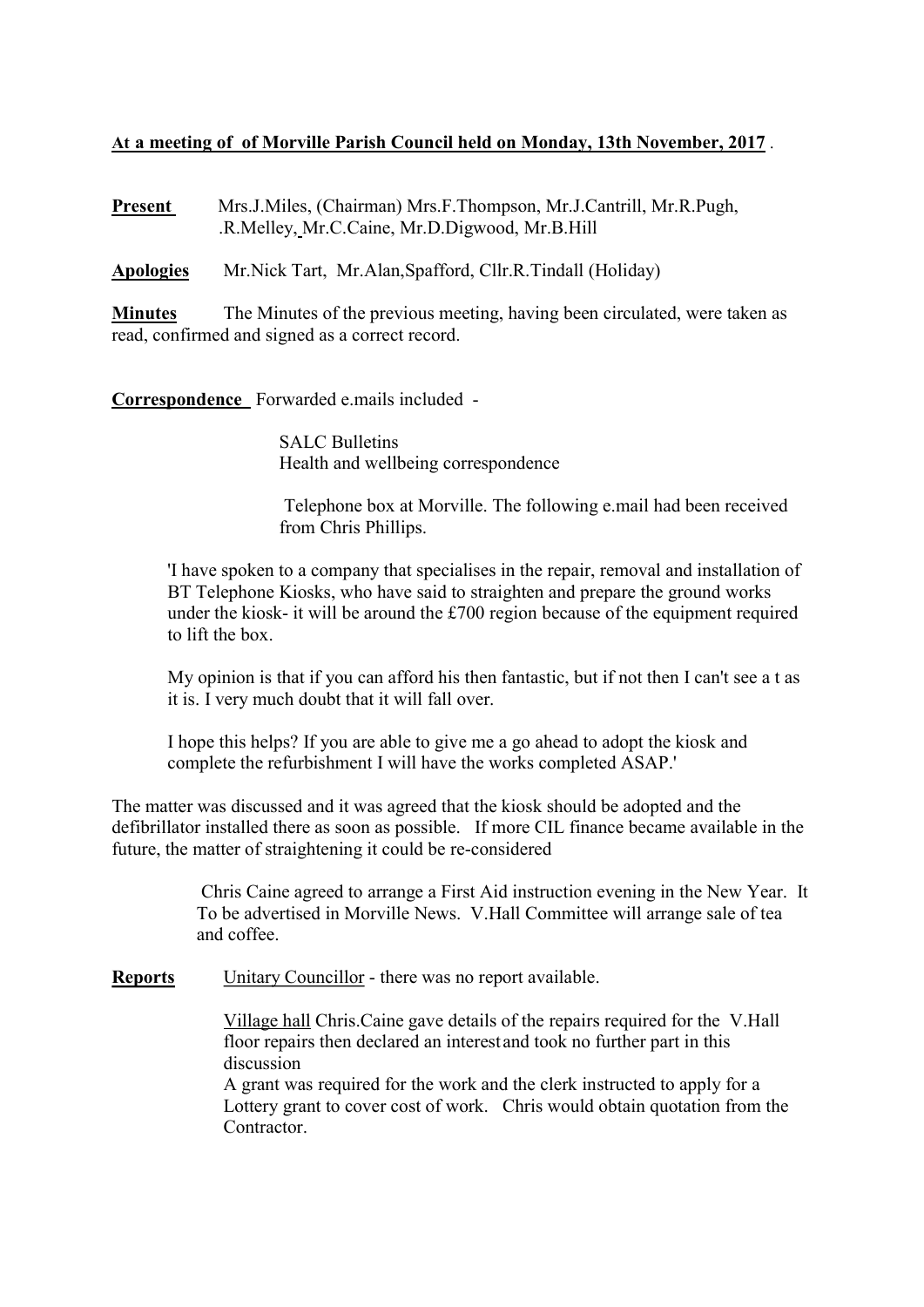## At a meeting of of Morville Parish Council held on Monday, 13th November, 2017 .

Present Mrs.J.Miles, (Chairman) Mrs.F.Thompson, Mr.J.Cantrill, Mr.R.Pugh, .R.Melley, Mr.C.Caine, Mr.D.Digwood, Mr.B.Hill

Apologies Mr.Nick Tart, Mr.Alan,Spafford, Cllr.R.Tindall (Holiday)

**Minutes** The Minutes of the previous meeting, having been circulated, were taken as read, confirmed and signed as a correct record.

Correspondence Forwarded e.mails included -

 SALC Bulletins Health and wellbeing correspondence

 Telephone box at Morville. The following e.mail had been received from Chris Phillips.

 'I have spoken to a company that specialises in the repair, removal and installation of BT Telephone Kiosks, who have said to straighten and prepare the ground works under the kiosk- it will be around the £700 region because of the equipment required to lift the box.

 My opinion is that if you can afford his then fantastic, but if not then I can't see a t as it is. I very much doubt that it will fall over.

 I hope this helps? If you are able to give me a go ahead to adopt the kiosk and complete the refurbishment I will have the works completed ASAP.'

The matter was discussed and it was agreed that the kiosk should be adopted and the defibrillator installed there as soon as possible. If more CIL finance became available in the future, the matter of straightening it could be re-considered

> Chris Caine agreed to arrange a First Aid instruction evening in the New Year. It To be advertised in Morville News. V.Hall Committee will arrange sale of tea and coffee.

Reports Unitary Councillor - there was no report available.

 Village hall Chris.Caine gave details of the repairs required for the V.Hall floor repairs then declared an interest and took no further part in this discussion

 A grant was required for the work and the clerk instructed to apply for a Lottery grant to cover cost of work. Chris would obtain quotation from the Contractor.